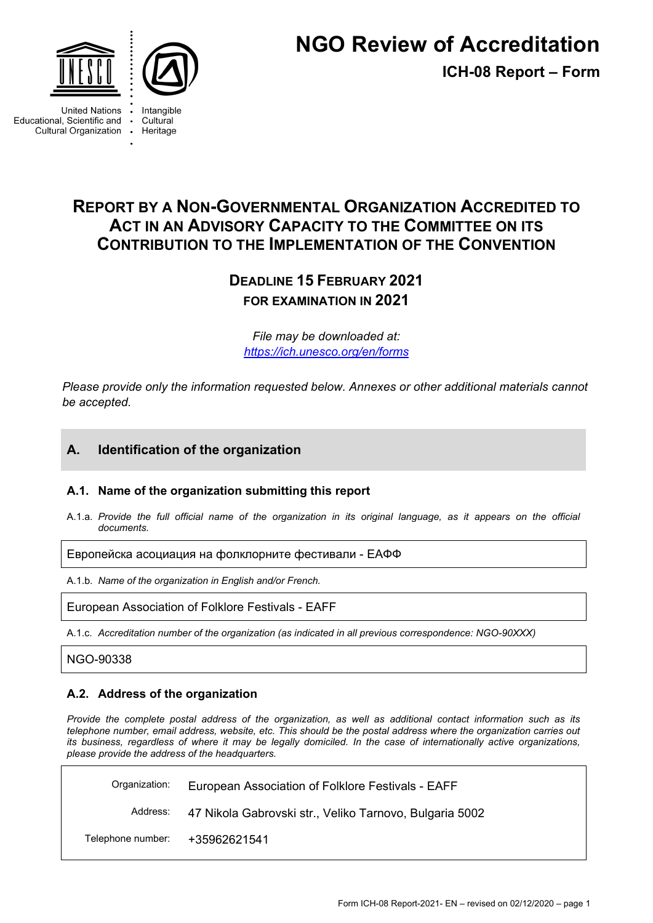



**United Nations** Educational, Scientific and Cultural Organization .

Intangible Cultural Heritage

**ICH-08 Report – Form**

# **REPORT BY A NON-GOVERNMENTAL ORGANIZATION ACCREDITED TO ACT IN AN ADVISORY CAPACITY TO THE COMMITTEE ON ITS CONTRIBUTION TO THE IMPLEMENTATION OF THE CONVENTION**

# **DEADLINE 15 FEBRUARY 2021 FOR EXAMINATION IN 2021**

*File may be downloaded at: <https://ich.unesco.org/en/forms>*

*Please provide only the information requested below. Annexes or other additional materials cannot be accepted.*

# **A. Identification of the organization**

### **A.1. Name of the organization submitting this report**

A.1.a. *Provide the full official name of the organization in its original language, as it appears on the official documents.*

Европейска асоциация на фолклорните фестивали - ЕАФФ

A.1.b. *Name of the organization in English and/or French.*

European Association of Folklore Festivals - EAFF

A.1.c. *Accreditation number of the organization (as indicated in all previous correspondence: NGO-90XXX)*

NGO-90338

### **A.2. Address of the organization**

*Provide the complete postal address of the organization, as well as additional contact information such as its telephone number, email address, website, etc. This should be the postal address where the organization carries out its business, regardless of where it may be legally domiciled. In the case of internationally active organizations, please provide the address of the headquarters.*

Organization: European Association of Folklore Festivals - EAFF Address: 47 Nikola Gabrovski str., Veliko Tarnovo, Bulgaria 5002 Telephone number: +35962621541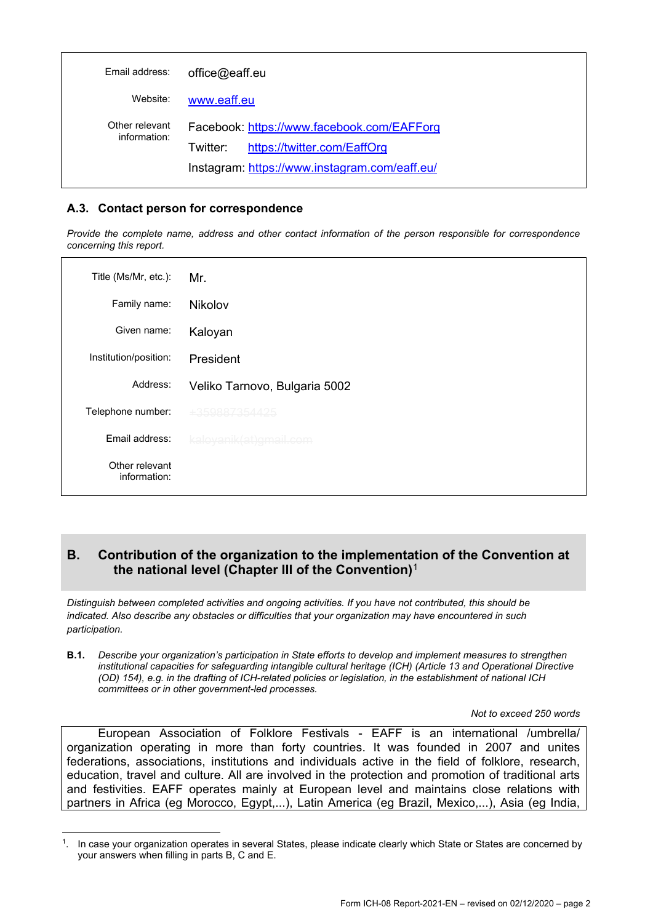| Email address:                 | office@eaff.eu                                                                        |
|--------------------------------|---------------------------------------------------------------------------------------|
| Website:                       | www.eaff.eu                                                                           |
| Other relevant<br>information: | Facebook: https://www.facebook.com/EAFForg<br>https://twitter.com/EaffOrg<br>Twitter: |
|                                | Instagram: https://www.instagram.com/eaff.eu/                                         |

### **A.3. Contact person for correspondence**

*Provide the complete name, address and other contact information of the person responsible for correspondence concerning this report.*

| Title (Ms/Mr, etc.):           | Mr.                           |
|--------------------------------|-------------------------------|
| Family name:                   | Nikolov                       |
| Given name:                    | Kaloyan                       |
| Institution/position:          | President                     |
| Address:                       | Veliko Tarnovo, Bulgaria 5002 |
| Telephone number:              | +359887354425                 |
| Fmail address:                 | kaloyanik(at)gmail.com        |
| Other relevant<br>information: |                               |

### **B. Contribution of the organization to the implementation of the Convention at the national level (Chapter III of the Convention)**[1](#page-1-0)

*Distinguish between completed activities and ongoing activities. If you have not contributed, this should be indicated. Also describe any obstacles or difficulties that your organization may have encountered in such participation.*

**B.1.** *Describe your organization's participation in State efforts to develop and implement measures to strengthen institutional capacities for safeguarding intangible cultural heritage (ICH) (Article 13 and Operational Directive (OD) 154), e.g. in the drafting of ICH-related policies or legislation, in the establishment of national ICH committees or in other government-led processes.*

*Not to exceed 250 words*

European Association of Folklore Festivals - EAFF is an international /umbrella/ organization operating in more than forty countries. It was founded in 2007 and unites federations, associations, institutions and individuals active in the field of folklore, research, education, travel and culture. All are involved in the protection and promotion of traditional arts and festivities. EAFF operates mainly at European level and maintains close relations with partners in Africa (eg Morocco, Egypt,...), Latin America (eg Brazil, Mexico,...), Asia (eg India,

<span id="page-1-0"></span><sup>1.</sup> In case your organization operates in several States, please indicate clearly which State or States are concerned by your answers when filling in parts B, C and E.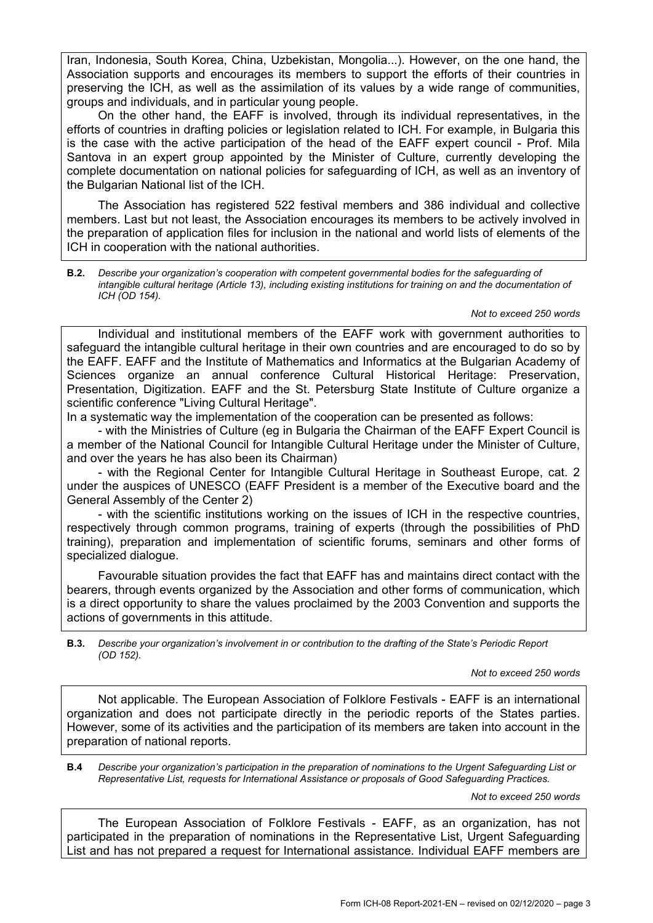Iran, Indonesia, South Korea, China, Uzbekistan, Mongolia...). However, on the one hand, the Association supports and encourages its members to support the efforts of their countries in preserving the ICH, as well as the assimilation of its values by a wide range of communities, groups and individuals, and in particular young people.

On the other hand, the EAFF is involved, through its individual representatives, in the efforts of countries in drafting policies or legislation related to ICH. For example, in Bulgaria this is the case with the active participation of the head of the EAFF expert council - Prof. Mila Santova in an expert group appointed by the Minister of Culture, currently developing the complete documentation on national policies for safeguarding of ICH, as well as an inventory of the Bulgarian National list of the ICH.

The Association has registered 522 festival members and 386 individual and collective members. Last but not least, the Association encourages its members to be actively involved in the preparation of application files for inclusion in the national and world lists of elements of the ICH in cooperation with the national authorities.

**B.2.** *Describe your organization's cooperation with competent governmental bodies for the safeguarding of intangible cultural heritage (Article 13), including existing institutions for training on and the documentation of ICH (OD 154).*

*Not to exceed 250 words*

Individual and institutional members of the EAFF work with government authorities to safeguard the intangible cultural heritage in their own countries and are encouraged to do so by the EAFF. EAFF and the Institute of Mathematics and Informatics at the Bulgarian Academy of Sciences organize an annual conference Cultural Historical Heritage: Preservation, Presentation, Digitization. EAFF and the St. Petersburg State Institute of Culture organize a scientific conference "Living Cultural Heritage".

In a systematic way the implementation of the cooperation can be presented as follows:

- with the Ministries of Culture (eg in Bulgaria the Chairman of the EAFF Expert Council is a member of the National Council for Intangible Cultural Heritage under the Minister of Culture, and over the years he has also been its Chairman)

- with the Regional Center for Intangible Cultural Heritage in Southeast Europe, cat. 2 under the auspices of UNESCO (EAFF President is a member of the Executive board and the General Assembly of the Center 2)

- with the scientific institutions working on the issues of ICH in the respective countries, respectively through common programs, training of experts (through the possibilities of PhD training), preparation and implementation of scientific forums, seminars and other forms of specialized dialogue.

Favourable situation provides the fact that EAFF has and maintains direct contact with the bearers, through events organized by the Association and other forms of communication, which is a direct opportunity to share the values proclaimed by the 2003 Convention and supports the actions of governments in this attitude.

**B.3.** *Describe your organization's involvement in or contribution to the drafting of the State's Periodic Report (OD 152).*

*Not to exceed 250 words*

Not applicable. The European Association of Folklore Festivals - EAFF is an international organization and does not participate directly in the periodic reports of the States parties. However, some of its activities and the participation of its members are taken into account in the preparation of national reports.

**B.4** *Describe your organization's participation in the preparation of nominations to the Urgent Safeguarding List or Representative List, requests for International Assistance or proposals of Good Safeguarding Practices.*

*Not to exceed 250 words*

The European Association of Folklore Festivals - EAFF, as an organization, has not participated in the preparation of nominations in the Representative List, Urgent Safeguarding List and has not prepared a request for International assistance. Individual EAFF members are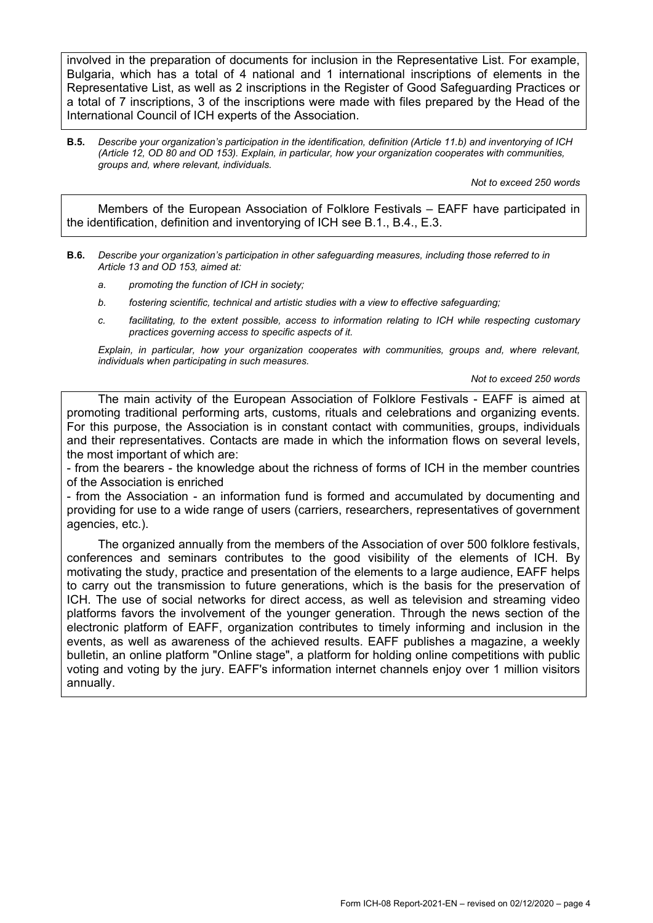involved in the preparation of documents for inclusion in the Representative List. For example, Bulgaria, which has a total of 4 national and 1 international inscriptions of elements in the Representative List, as well as 2 inscriptions in the Register of Good Safeguarding Practices or a total of 7 inscriptions, 3 of the inscriptions were made with files prepared by the Head of the International Council of ICH experts of the Association.

**B.5.** *Describe your organization's participation in the identification, definition (Article 11.b) and inventorying of ICH (Article 12, OD 80 and OD 153). Explain, in particular, how your organization cooperates with communities, groups and, where relevant, individuals.*

*Not to exceed 250 words*

Members of the European Association of Folklore Festivals – EAFF have participated in the identification, definition and inventorying of ICH see В.1., В.4., E.3.

- **B.6.** *Describe your organization's participation in other safeguarding measures, including those referred to in Article 13 and OD 153, aimed at:*
	- *a. promoting the function of ICH in society;*
	- *b. fostering scientific, technical and artistic studies with a view to effective safeguarding;*
	- *c. facilitating, to the extent possible, access to information relating to ICH while respecting customary practices governing access to specific aspects of it.*

*Explain, in particular, how your organization cooperates with communities, groups and, where relevant, individuals when participating in such measures.*

*Not to exceed 250 words*

The main activity of the European Association of Folklore Festivals - EAFF is aimed at promoting traditional performing arts, customs, rituals and celebrations and organizing events. For this purpose, the Association is in constant contact with communities, groups, individuals and their representatives. Contacts are made in which the information flows on several levels, the most important of which are:

- from the bearers - the knowledge about the richness of forms of ICH in the member countries of the Association is enriched

- from the Association - an information fund is formed and accumulated by documenting and providing for use to a wide range of users (carriers, researchers, representatives of government agencies, etc.).

The organized annually from the members of the Association of over 500 folklore festivals, conferences and seminars contributes to the good visibility of the elements of ICH. By motivating the study, practice and presentation of the elements to a large audience, EAFF helps to carry out the transmission to future generations, which is the basis for the preservation of ICH. The use of social networks for direct access, as well as television and streaming video platforms favors the involvement of the younger generation. Through the news section of the electronic platform of EAFF, organization contributes to timely informing and inclusion in the events, as well as awareness of the achieved results. EAFF publishes a magazine, a weekly bulletin, an online platform "Online stage", a platform for holding online competitions with public voting and voting by the jury. EAFF's information internet channels enjoy over 1 million visitors annually.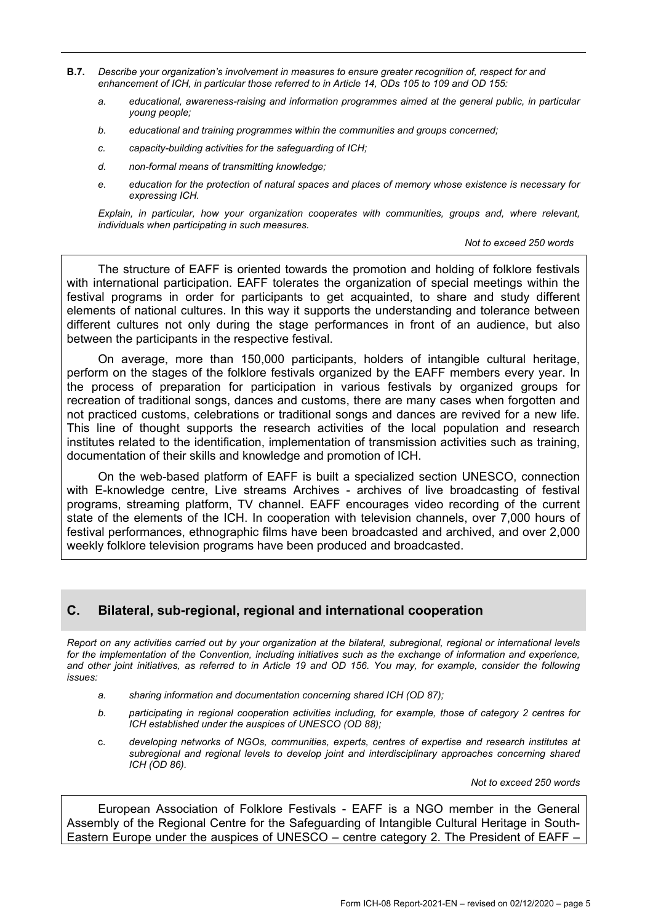- **B.7.** *Describe your organization's involvement in measures to ensure greater recognition of, respect for and enhancement of ICH, in particular those referred to in Article 14, ODs 105 to 109 and OD 155:*
	- *a. educational, awareness-raising and information programmes aimed at the general public, in particular young people;*
	- *b. educational and training programmes within the communities and groups concerned;*
	- *c. capacity-building activities for the safeguarding of ICH;*
	- *d. non-formal means of transmitting knowledge;*
	- *e. education for the protection of natural spaces and places of memory whose existence is necessary for expressing ICH.*

*Explain, in particular, how your organization cooperates with communities, groups and, where relevant, individuals when participating in such measures.*

#### *Not to exceed 250 words*

The structure of EAFF is oriented towards the promotion and holding of folklore festivals with international participation. EAFF tolerates the organization of special meetings within the festival programs in order for participants to get acquainted, to share and study different elements of national cultures. In this way it supports the understanding and tolerance between different cultures not only during the stage performances in front of an audience, but also between the participants in the respective festival.

On average, more than 150,000 participants, holders of intangible cultural heritage, perform on the stages of the folklore festivals organized by the EAFF members every year. In the process of preparation for participation in various festivals by organized groups for recreation of traditional songs, dances and customs, there are many cases when forgotten and not practiced customs, celebrations or traditional songs and dances are revived for a new life. This line of thought supports the research activities of the local population and research institutes related to the identification, implementation of transmission activities such as training, documentation of their skills and knowledge and promotion of ICH.

On the web-based platform of EAFF is built a specialized section UNESCO, connection with E-knowledge centre, Live streams Archives - archives of live broadcasting of festival programs, streaming platform, TV channel. EAFF encourages video recording of the current state of the elements of the ICH. In cooperation with television channels, over 7,000 hours of festival performances, ethnographic films have been broadcasted and archived, and over 2,000 weekly folklore television programs have been produced and broadcasted.

### **C. Bilateral, sub-regional, regional and international cooperation**

*Report on any activities carried out by your organization at the bilateral, subregional, regional or international levels for the implementation of the Convention, including initiatives such as the exchange of information and experience, and other joint initiatives, as referred to in Article 19 and OD 156. You may, for example, consider the following issues:*

- *a. sharing information and documentation concerning shared ICH (OD 87);*
- *b. participating in regional cooperation activities including, for example, those of category 2 centres for ICH established under the auspices of UNESCO (OD 88);*
- c. *developing networks of NGOs, communities, experts, centres of expertise and research institutes at subregional and regional levels to develop joint and interdisciplinary approaches concerning shared ICH (OD 86).*

*Not to exceed 250 words*

European Association of Folklore Festivals - EAFF is a NGO member in the General Assembly of the Regional Centre for the Safeguarding of Intangible Cultural Heritage in South-Eastern Europe under the auspices of UNESCO – centre category 2. The President of EAFF –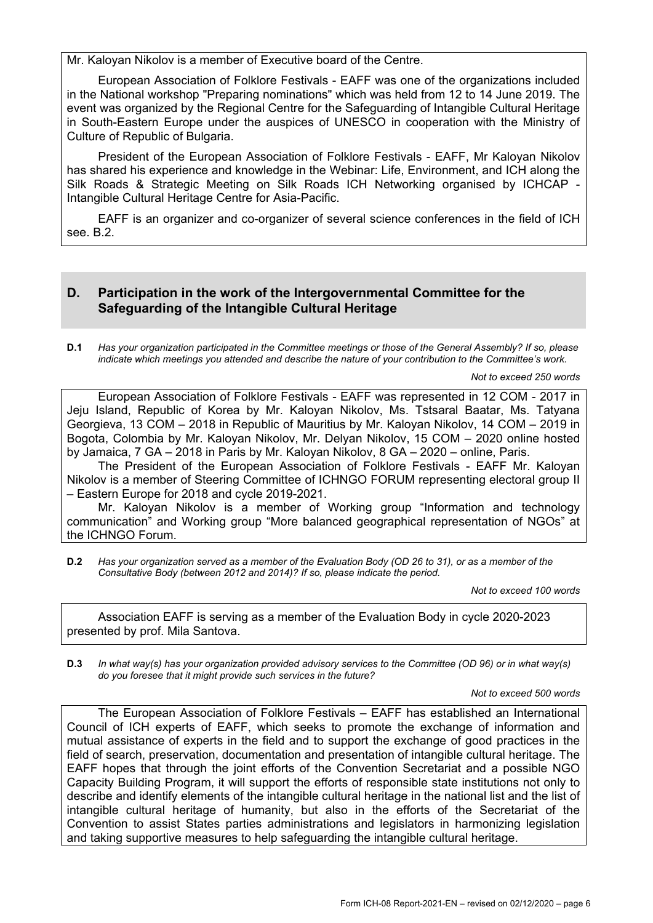Mr. Kaloyan Nikolov is a member of Executive board of the Centre.

European Association of Folklore Festivals - EAFF was one of the organizations included in the National workshop "Preparing nominations" which was held from 12 to 14 June 2019. The event was organized by the Regional Centre for the Safeguarding of Intangible Cultural Heritage in South-Eastern Europe under the auspices of UNESCO in cooperation with the Ministry of Culture of Republic of Bulgaria.

President of the European Association of Folklore Festivals - EAFF, Mr Kaloyan Nikolov has shared his experience and knowledge in the Webinar: Life, Environment, and ICH along the Silk Roads & Strategic Meeting on Silk Roads ICH Networking organised by ICHCAP - Intangible Cultural Heritage Centre for Asia-Pacific.

EAFF is an organizer and co-organizer of several science conferences in the field of ICH see. B.2.

### **D. Participation in the work of the Intergovernmental Committee for the Safeguarding of the Intangible Cultural Heritage**

**D.1** *Has your organization participated in the Committee meetings or those of the General Assembly? If so, please indicate which meetings you attended and describe the nature of your contribution to the Committee's work.*

*Not to exceed 250 words*

European Association of Folklore Festivals - EAFF was represented in 12 COM - 2017 in Jeju Island, Republic of Korea by Mr. Kaloyan Nikolov, Ms. Tstsaral Baatar, Ms. Tatyana Georgieva, 13 COM – 2018 in Republic of Mauritius by Mr. Kaloyan Nikolov, 14 COM – 2019 in Bogota, Colombia by Mr. Kaloyan Nikolov, Mr. Delyan Nikolov, 15 COM – 2020 online hosted by Jamaica, 7 GA – 2018 in Paris by Mr. Kaloyan Nikolov, 8 GA – 2020 – online, Paris.

The President of the European Association of Folklore Festivals - EAFF Mr. Kaloyan Nikolov is a member of Steering Committee of ICHNGO FORUM representing electoral group II – Eastern Europe for 2018 and cycle 2019-2021.

Mr. Kaloyan Nikolov is a member of Working group "Information and technology communication" and Working group "More balanced geographical representation of NGOs" at the ICHNGO Forum.

**D.2** *Has your organization served as a member of the Evaluation Body (OD 26 to 31), or as a member of the Consultative Body (between 2012 and 2014)? If so, please indicate the period.*

*Not to exceed 100 words*

Association EAFF is serving as a member of the Evaluation Body in cycle 2020-2023 presented by prof. Mila Santova.

**D.3** *In what way(s) has your organization provided advisory services to the Committee (OD 96) or in what way(s) do you foresee that it might provide such services in the future?*

*Not to exceed 500 words*

The European Association of Folklore Festivals – EAFF has established an International Council of ICH experts of EAFF, which seeks to promote the exchange of information and mutual assistance of experts in the field and to support the exchange of good practices in the field of search, preservation, documentation and presentation of intangible cultural heritage. The EAFF hopes that through the joint efforts of the Convention Secretariat and a possible NGO Capacity Building Program, it will support the efforts of responsible state institutions not only to describe and identify elements of the intangible cultural heritage in the national list and the list of intangible cultural heritage of humanity, but also in the efforts of the Secretariat of the Convention to assist States parties administrations and legislators in harmonizing legislation and taking supportive measures to help safeguarding the intangible cultural heritage.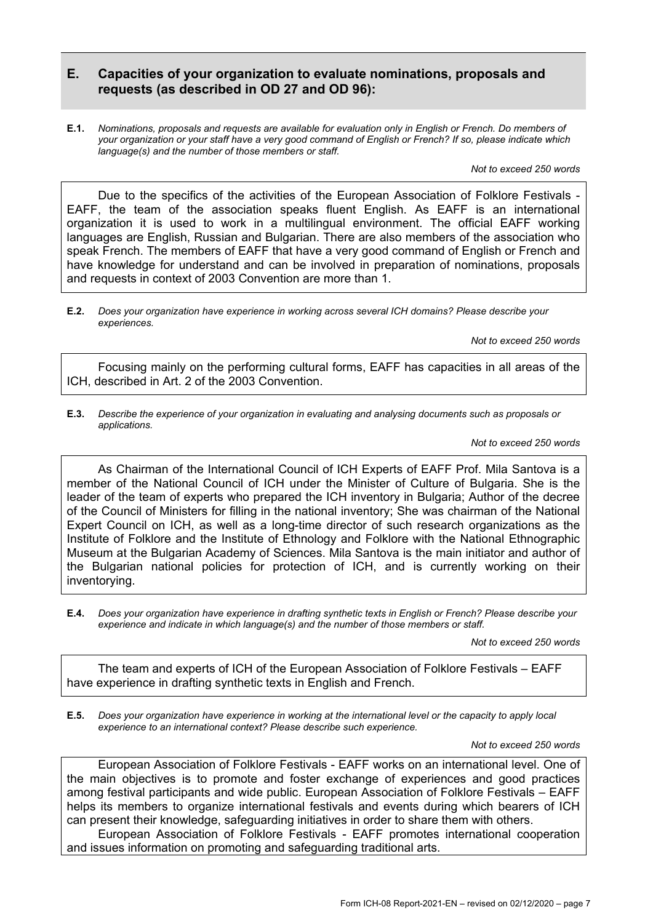### **E. Capacities of your organization to evaluate nominations, proposals and requests (as described in OD 27 and OD 96):**

**E.1.** *Nominations, proposals and requests are available for evaluation only in English or French. Do members of your organization or your staff have a very good command of English or French? If so, please indicate which language(s) and the number of those members or staff.*

*Not to exceed 250 words*

Due to the specifics of the activities of the European Association of Folklore Festivals -EAFF, the team of the association speaks fluent English. As EAFF is an international organization it is used to work in a multilingual environment. The official EAFF working languages are English, Russian and Bulgarian. There are also members of the association who speak French. The members of EAFF that have a very good command of English or French and have knowledge for understand and can be involved in preparation of nominations, proposals and requests in context of 2003 Convention are more than 1.

**E.2.** *Does your organization have experience in working across several ICH domains? Please describe your experiences.*

*Not to exceed 250 words*

- Focusing mainly on the performing cultural forms, EAFF has capacities in all areas of the ICH, described in Art. 2 of the 2003 Convention.
- **E.3.** *Describe the experience of your organization in evaluating and analysing documents such as proposals or applications.*

*Not to exceed 250 words*

As Chairman of the International Council of ICH Experts of EAFF Prof. Mila Santova is a member of the National Council of ICH under the Minister of Culture of Bulgaria. She is the leader of the team of experts who prepared the ICH inventory in Bulgaria; Author of the decree of the Council of Ministers for filling in the national inventory; She was chairman of the National Expert Council on ICH, as well as a long-time director of such research organizations as the Institute of Folklore and the Institute of Ethnology and Folklore with the National Ethnographic Museum at the Bulgarian Academy of Sciences. Mila Santova is the main initiator and author of the Bulgarian national policies for protection of ICH, and is currently working on their inventorying.

**E.4.** *Does your organization have experience in drafting synthetic texts in English or French? Please describe your experience and indicate in which language(s) and the number of those members or staff.*

*Not to exceed 250 words*

The team and experts of ICH of the European Association of Folklore Festivals – EAFF have experience in drafting synthetic texts in English and French.

**E.5.** *Does your organization have experience in working at the international level or the capacity to apply local experience to an international context? Please describe such experience.*

*Not to exceed 250 words*

European Association of Folklore Festivals - EAFF works on an international level. One of the main objectives is to promote and foster exchange of experiences and good practices among festival participants and wide public. European Association of Folklore Festivals – EAFF helps its members to organize international festivals and events during which bearers of ICH can present their knowledge, safeguarding initiatives in order to share them with others.

European Association of Folklore Festivals - EAFF promotes international cooperation and issues information on promoting and safeguarding traditional arts.